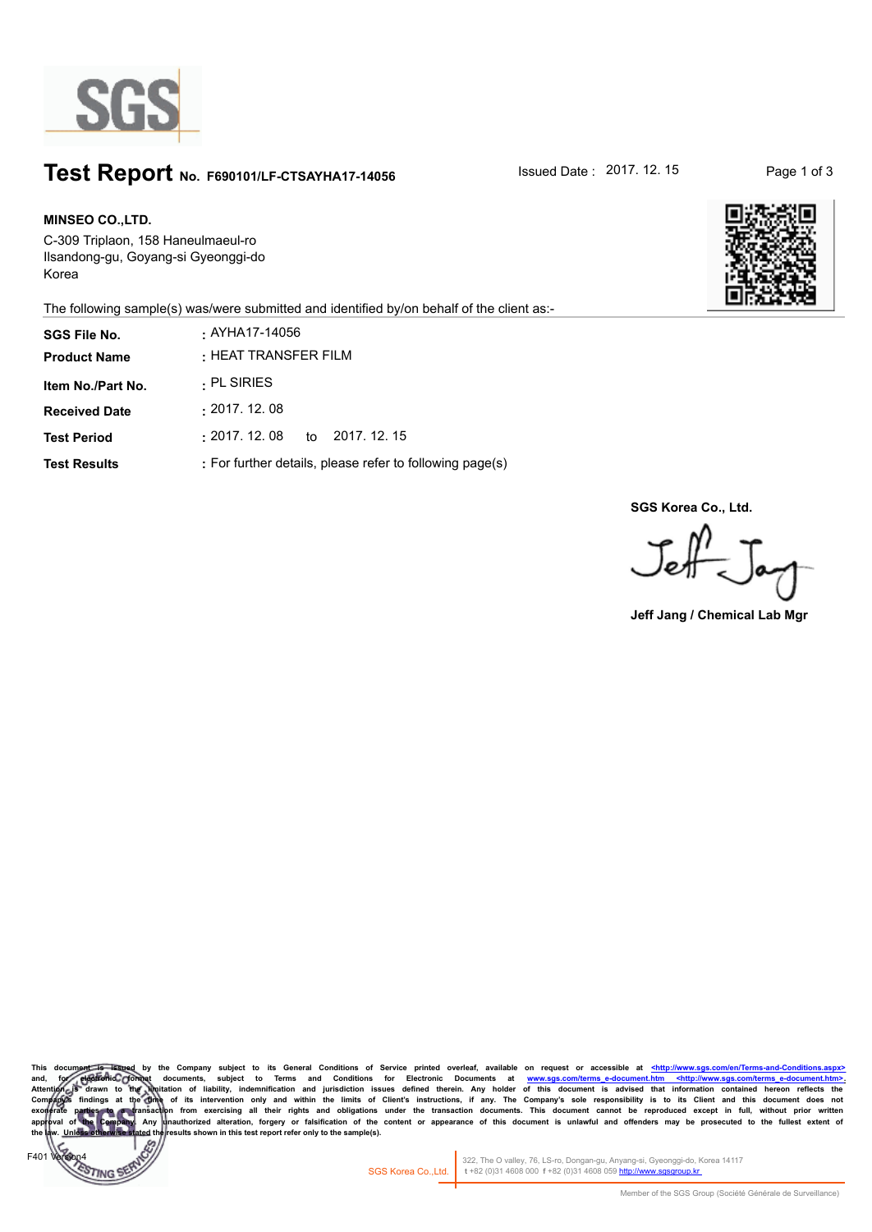

## **Test Report** No. F690101/LF-CTSAYHA17-14056 **ISSued Date : 2017. 12. 15** Page 1 of 3

 $EAO$ 

**TING** 

**MINSEO CO.,LTD. SGS File No. :** AYHA17-14056 C-309 Triplaon, 158 Haneulmaeul-ro Ilsandong-gu, Goyang-si Gyeonggi-do Korea



The following sample(s) was/were submitted and identified by/on behalf of the client as:-

| <b>SGS File No.</b><br><b>Product Name</b> | . AYHA17-14056<br>$\cdot$ HEAT TRANSFER FILM             |
|--------------------------------------------|----------------------------------------------------------|
| Item No./Part No.                          | . PL SIRIES                                              |
| <b>Received Date</b>                       | : 2017.12.08                                             |
| <b>Test Period</b>                         | : 2017.12.08<br>to 2017, 12, 15                          |
| <b>Test Results</b>                        | : For further details, please refer to following page(s) |

**SGS Korea Co., Ltd.**

Jeff Jay

**Jeff Jang / Chemical Lab Mgr**

This document is issued by the Company subject to its General Conditions of Service printed overleaf, available on request or accessible at <u><http://www.sgs.co</u> and, for electronic formet documents, subject to Terms and Conditions for Electronic Documents at <u>www.sgs.com/terms e-document.htm <http://www.sgs.com/terms e-document.htm = http://www.sgs.com/terms e-document.htm<br>Attenti</u> Company)க findings at the Ome of its intervention only and within the limits of Client's instructions, if any. The Company's sole responsibility is to its Client and this document does not preceding and the respect in ful sults shown in this test report refer only to the sample(s).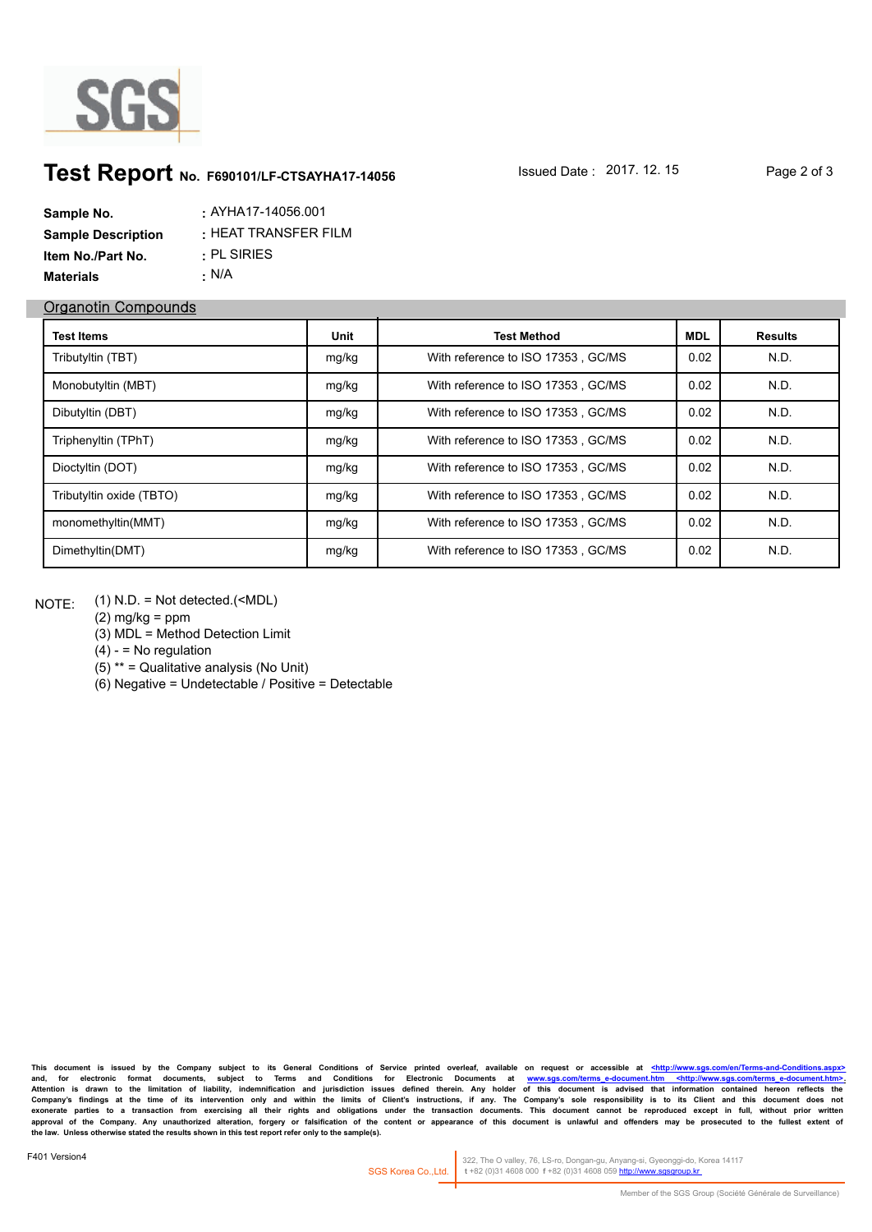

## **Test Report** No. F690101/LF-CTSAYHA17-14056 **ISSued Date : 2017. 12. 15** Page 2 of 3

| Sample No.                | : AYHA17-14056.001   |
|---------------------------|----------------------|
| <b>Sample Description</b> | : HEAT TRANSFER FILM |
| <b>Item No./Part No.</b>  | $\cdot$ PL SIRIES    |
| <b>Materials</b>          | • N/A                |

## **Organotin Compounds**

| <b>Test Items</b>        | Unit  | <b>Test Method</b>                 | <b>MDL</b> | <b>Results</b> |
|--------------------------|-------|------------------------------------|------------|----------------|
| Tributyltin (TBT)        | mg/kg | With reference to ISO 17353, GC/MS | 0.02       | N.D.           |
| Monobutyltin (MBT)       | mg/kg | With reference to ISO 17353, GC/MS | 0.02       | N.D.           |
| Dibutyltin (DBT)         | mg/kg | With reference to ISO 17353, GC/MS | 0.02       | N.D.           |
| Triphenyltin (TPhT)      | mg/kg | With reference to ISO 17353, GC/MS | 0.02       | N.D.           |
| Dioctyltin (DOT)         | mg/kg | With reference to ISO 17353, GC/MS | 0.02       | N.D.           |
| Tributyltin oxide (TBTO) | mg/kg | With reference to ISO 17353, GC/MS | 0.02       | N.D.           |
| monomethyltin(MMT)       | mg/kg | With reference to ISO 17353, GC/MS | 0.02       | N.D.           |
| Dimethyltin(DMT)         | mg/kg | With reference to ISO 17353, GC/MS | 0.02       | N.D.           |

(1) N.D. = Not detected.(<MDL) NOTE:

 $(2)$  mg/kg = ppm

(3) MDL = Method Detection Limit

 $(4) -$  = No regulation

(5) \*\* = Qualitative analysis (No Unit)

(6) Negative = Undetectable / Positive = Detectable

**This document is issued by the Company subject to its General Conditions of Service printed overleaf, available on request or accessible at <http://www.sgs.com/en/Terms-and-Conditions.aspx>** and, for electronic format documents, subject to Terms and Conditions for Electronic Documents at <u>www.sgs.com/terms-e-document.htm <http://www.sgs.com/terms-e-document.htm>.</u><br>Attention is drawn to the limitation of liabil Company's findings at the time of its intervention only and within the limits of Client's instructions, if any. The Company's sole responsibility is to its Client and this document does not<br>exonerate parties to a transacti **the law. Unless otherwise stated the results shown in this test report refer only to the sample(s).**